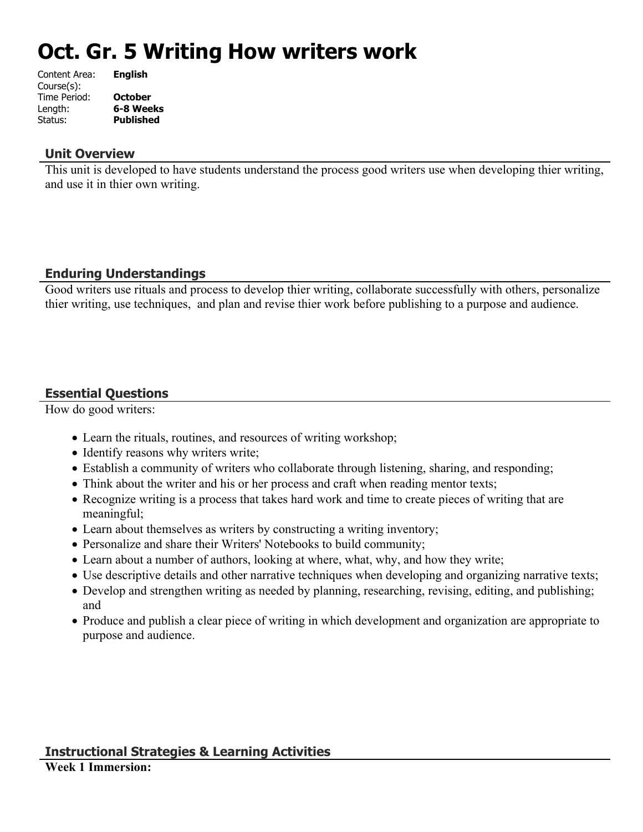# **Oct. Gr. 5 Writing How writers work**

| Content Area: | <b>English</b>   |
|---------------|------------------|
| Course(s):    |                  |
| Time Period:  | <b>October</b>   |
| Length:       | 6-8 Weeks        |
| Status:       | <b>Published</b> |
|               |                  |

## **Unit Overview**

This unit is developed to have students understand the process good writers use when developing thier writing, and use it in thier own writing.

# **Enduring Understandings**

Good writers use rituals and process to develop thier writing, collaborate successfully with others, personalize thier writing, use techniques, and plan and revise thier work before publishing to a purpose and audience.

# **Essential Questions**

How do good writers:

- Learn the rituals, routines, and resources of writing workshop;
- Identify reasons why writers write;
- Establish a community of writers who collaborate through listening, sharing, and responding;
- Think about the writer and his or her process and craft when reading mentor texts;
- Recognize writing is a process that takes hard work and time to create pieces of writing that are meaningful;
- Learn about themselves as writers by constructing a writing inventory;
- Personalize and share their Writers' Notebooks to build community;
- Learn about a number of authors, looking at where, what, why, and how they write;
- Use descriptive details and other narrative techniques when developing and organizing narrative texts;
- Develop and strengthen writing as needed by planning, researching, revising, editing, and publishing; and
- Produce and publish a clear piece of writing in which development and organization are appropriate to purpose and audience.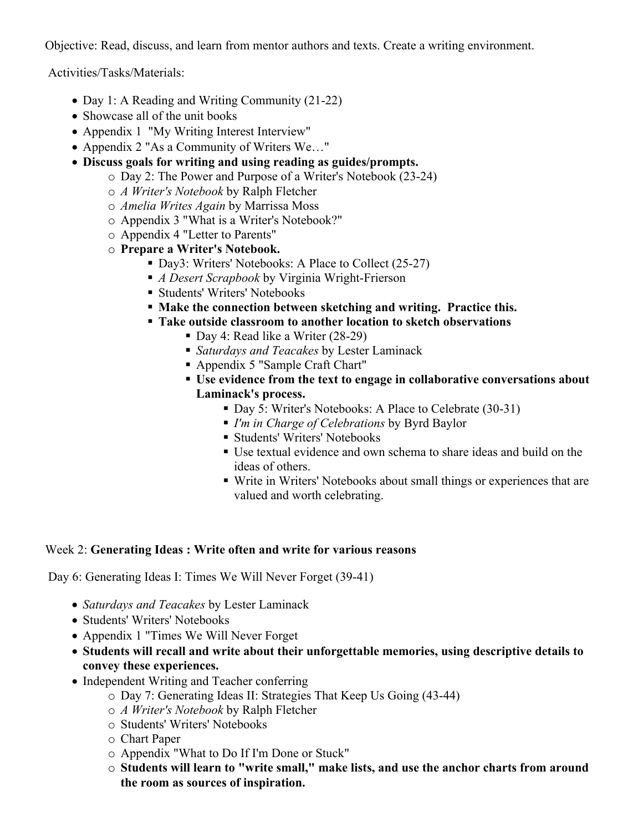Objective: Read, discuss, and learn from mentor authors and texts. Create a writing environment.

Activities/Tasks/Materials:

- Day 1: A Reading and Writing Community (21-22)
- Showcase all of the unit books
- Appendix 1 "My Writing Interest Interview"
- Appendix 2 "As a Community of Writers We..."
- **Discuss goals for writing and using reading as guides/prompts.**
	- o Day 2: The Power and Purpose of a Writer's Notebook (23-24)
	- o *A Writer's Notebook* by Ralph Fletcher
	- o *Amelia Writes Again* by Marrissa Moss
	- o Appendix 3 "What is a Writer's Notebook?"
	- o Appendix 4 "Letter to Parents"
	- o **Prepare a Writer's Notebook.**
		- Day3: Writers' Notebooks: A Place to Collect (25-27)
		- *A Desert Scrapbook* by Virginia Wright-Frierson
		- **Students' Writers' Notebooks**
		- **Make the connection between sketching and writing. Practice this.**
		- **Take outside classroom to another location to sketch observations**
			- Day 4: Read like a Writer (28-29)
			- *Saturdays and Teacakes* by Lester Laminack
			- Appendix 5 "Sample Craft Chart"
			- **Use evidence from the text to engage in collaborative conversations about Laminack's process.**
				- Day 5: Writer's Notebooks: A Place to Celebrate (30-31)
				- *I'm in Charge of Celebrations* by Byrd Baylor
				- **Students' Writers' Notebooks**
				- Use textual evidence and own schema to share ideas and build on the ideas of others.
				- Write in Writers' Notebooks about small things or experiences that are valued and worth celebrating.

#### Week 2: **Generating Ideas : Write often and write for various reasons**

Day 6: Generating Ideas I: Times We Will Never Forget (39-41)

- *Saturdays and Teacakes* by Lester Laminack
- Students' Writers' Notebooks
- Appendix 1 "Times We Will Never Forget
- **Students will recall and write about their unforgettable memories, using descriptive details to convey these experiences.**
- Independent Writing and Teacher conferring
	- o Day 7: Generating Ideas II: Strategies That Keep Us Going (43-44)
	- o *A Writer's Notebook* by Ralph Fletcher
	- o Students' Writers' Notebooks
	- o Chart Paper
	- o Appendix "What to Do If I'm Done or Stuck"
	- o **Students will learn to "write small," make lists, and use the anchor charts from around the room as sources of inspiration.**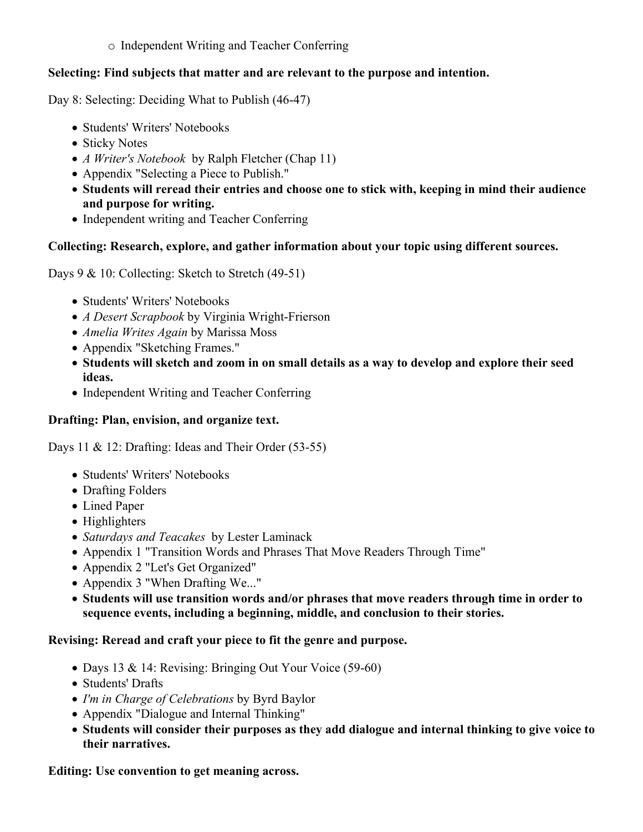o Independent Writing and Teacher Conferring

## **Selecting: Find subjects that matter and are relevant to the purpose and intention.**

Day 8: Selecting: Deciding What to Publish (46-47)

- Students' Writers' Notebooks
- Sticky Notes
- *A Writer's Notebook* by Ralph Fletcher (Chap 11)
- Appendix "Selecting a Piece to Publish."
- **Students will reread their entries and choose one to stick with, keeping in mind their audience and purpose for writing.**
- Independent writing and Teacher Conferring

# **Collecting: Research, explore, and gather information about your topic using different sources.**

Days 9 & 10: Collecting: Sketch to Stretch (49-51)

- Students' Writers' Notebooks
- *A Desert Scrapbook* by Virginia Wright-Frierson
- *Amelia Writes Again* by Marissa Moss
- Appendix "Sketching Frames."
- **Students will sketch and zoom in on small details as a way to develop and explore their seed ideas.**
- Independent Writing and Teacher Conferring

# **Drafting: Plan, envision, and organize text.**

Days 11 & 12: Drafting: Ideas and Their Order (53-55)

- Students' Writers' Notebooks
- Drafting Folders
- Lined Paper
- Highlighters
- *Saturdays and Teacakes* by Lester Laminack
- Appendix 1 "Transition Words and Phrases That Move Readers Through Time"
- Appendix 2 "Let's Get Organized"
- Appendix 3 "When Drafting We..."
- **Students will use transition words and/or phrases that move readers through time in order to sequence events, including a beginning, middle, and conclusion to their stories.**

# **Revising: Reread and craft your piece to fit the genre and purpose.**

- Days 13 & 14: Revising: Bringing Out Your Voice (59-60)
- Students' Drafts
- *I'm in Charge of Celebrations* by Byrd Baylor
- Appendix "Dialogue and Internal Thinking"
- **Students will consider their purposes as they add dialogue and internal thinking to give voice to their narratives.**

**Editing: Use convention to get meaning across.**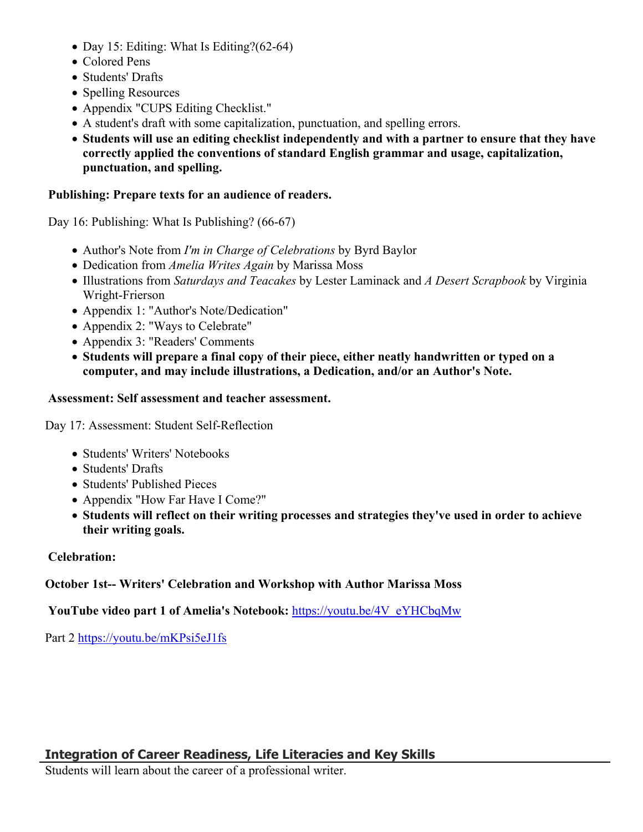- Day 15: Editing: What Is Editing?(62-64)
- Colored Pens
- Students' Drafts
- Spelling Resources
- Appendix "CUPS Editing Checklist."
- A student's draft with some capitalization, punctuation, and spelling errors.
- **Students will use an editing checklist independently and with a partner to ensure that they have correctly applied the conventions of standard English grammar and usage, capitalization, punctuation, and spelling.**

## **Publishing: Prepare texts for an audience of readers.**

Day 16: Publishing: What Is Publishing? (66-67)

- Author's Note from *I'm in Charge of Celebrations* by Byrd Baylor
- Dedication from *Amelia Writes Again* by Marissa Moss
- Illustrations from *Saturdays and Teacakes* by Lester Laminack and *A Desert Scrapbook* by Virginia Wright-Frierson
- Appendix 1: "Author's Note/Dedication"
- Appendix 2: "Ways to Celebrate"
- Appendix 3: "Readers' Comments
- **Students will prepare a final copy of their piece, either neatly handwritten or typed on a computer, and may include illustrations, a Dedication, and/or an Author's Note.**

#### **Assessment: Self assessment and teacher assessment.**

Day 17: Assessment: Student Self-Reflection

- Students' Writers' Notebooks
- Students' Drafts
- Students' Published Pieces
- Appendix "How Far Have I Come?"
- **Students will reflect on their writing processes and strategies they've used in order to achieve their writing goals.**

## **Celebration:**

## **October 1st-- Writers' Celebration and Workshop with Author Marissa Moss**

YouTube video part 1 of Amelia's Notebook: [https://youtu.be/4V\\_eYHCbqMw](https://youtu.be/4V_eYHCbqMw)

Part 2<https://youtu.be/mKPsi5eJ1fs>

Students will learn about the career of a professional writer.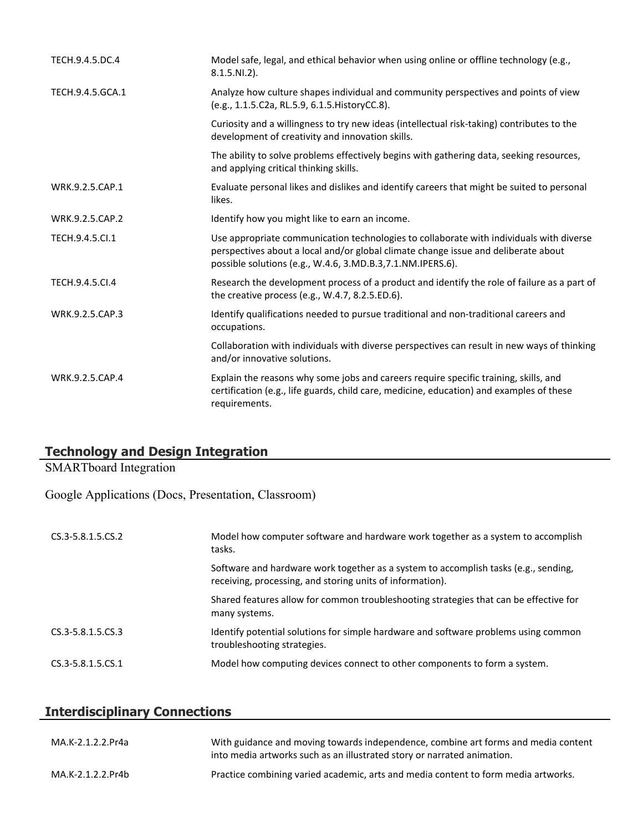| TECH.9.4.5.DC.4  | Model safe, legal, and ethical behavior when using online or offline technology (e.g.,<br>$8.1.5.NI.2$ ).                                                                                                                                   |
|------------------|---------------------------------------------------------------------------------------------------------------------------------------------------------------------------------------------------------------------------------------------|
| TECH.9.4.5.GCA.1 | Analyze how culture shapes individual and community perspectives and points of view<br>(e.g., 1.1.5.C2a, RL.5.9, 6.1.5. HistoryCC.8).                                                                                                       |
|                  | Curiosity and a willingness to try new ideas (intellectual risk-taking) contributes to the<br>development of creativity and innovation skills.                                                                                              |
|                  | The ability to solve problems effectively begins with gathering data, seeking resources,<br>and applying critical thinking skills.                                                                                                          |
| WRK.9.2.5.CAP.1  | Evaluate personal likes and dislikes and identify careers that might be suited to personal<br>likes.                                                                                                                                        |
| WRK.9.2.5.CAP.2  | Identify how you might like to earn an income.                                                                                                                                                                                              |
| TECH.9.4.5.Cl.1  | Use appropriate communication technologies to collaborate with individuals with diverse<br>perspectives about a local and/or global climate change issue and deliberate about<br>possible solutions (e.g., W.4.6, 3.MD.B.3,7.1.NM.IPERS.6). |
| TECH.9.4.5.CI.4  | Research the development process of a product and identify the role of failure as a part of<br>the creative process (e.g., W.4.7, 8.2.5.ED.6).                                                                                              |
| WRK.9.2.5.CAP.3  | Identify qualifications needed to pursue traditional and non-traditional careers and<br>occupations.                                                                                                                                        |
|                  | Collaboration with individuals with diverse perspectives can result in new ways of thinking<br>and/or innovative solutions.                                                                                                                 |
| WRK.9.2.5.CAP.4  | Explain the reasons why some jobs and careers require specific training, skills, and<br>certification (e.g., life guards, child care, medicine, education) and examples of these<br>requirements.                                           |

# **Technology and Design Integration**

SMARTboard Integration

Google Applications (Docs, Presentation, Classroom)

| CS.3-5.8.1.5.CS.2 | Model how computer software and hardware work together as a system to accomplish<br>tasks.                                                       |
|-------------------|--------------------------------------------------------------------------------------------------------------------------------------------------|
|                   | Software and hardware work together as a system to accomplish tasks (e.g., sending,<br>receiving, processing, and storing units of information). |
|                   | Shared features allow for common troubleshooting strategies that can be effective for<br>many systems.                                           |
| CS.3-5.8.1.5.CS.3 | Identify potential solutions for simple hardware and software problems using common<br>troubleshooting strategies.                               |
| CS.3-5.8.1.5.CS.1 | Model how computing devices connect to other components to form a system.                                                                        |

# **Interdisciplinary Connections**

| MA.K-2.1.2.2.Pr4a | With guidance and moving towards independence, combine art forms and media content<br>into media artworks such as an illustrated story or narrated animation. |
|-------------------|---------------------------------------------------------------------------------------------------------------------------------------------------------------|
| MA.K-2.1.2.2.Pr4b | Practice combining varied academic, arts and media content to form media artworks.                                                                            |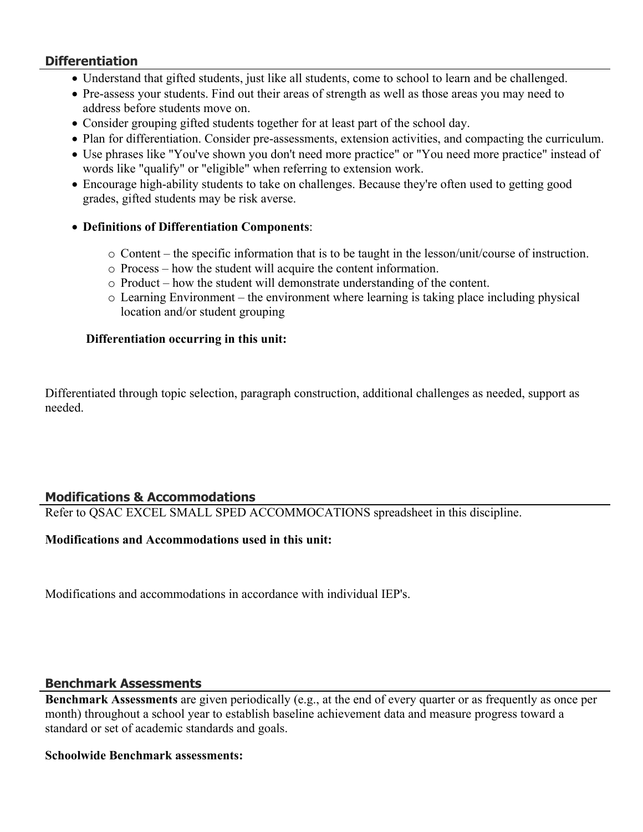## **Differentiation**

- Understand that gifted students, just like all students, come to school to learn and be challenged.
- Pre-assess your students. Find out their areas of strength as well as those areas you may need to address before students move on.
- Consider grouping gifted students together for at least part of the school day.
- Plan for differentiation. Consider pre-assessments, extension activities, and compacting the curriculum.
- Use phrases like "You've shown you don't need more practice" or "You need more practice" instead of words like "qualify" or "eligible" when referring to extension work.
- Encourage high-ability students to take on challenges. Because they're often used to getting good grades, gifted students may be risk averse.
- **Definitions of Differentiation Components**:
	- o Content the specific information that is to be taught in the lesson/unit/course of instruction.
	- o Process how the student will acquire the content information.
	- o Product how the student will demonstrate understanding of the content.
	- o Learning Environment the environment where learning is taking place including physical location and/or student grouping

## **Differentiation occurring in this unit:**

Differentiated through topic selection, paragraph construction, additional challenges as needed, support as needed.

# **Modifications & Accommodations**

Refer to QSAC EXCEL SMALL SPED ACCOMMOCATIONS spreadsheet in this discipline.

## **Modifications and Accommodations used in this unit:**

Modifications and accommodations in accordance with individual IEP's.

## **Benchmark Assessments**

**Benchmark Assessments** are given periodically (e.g., at the end of every quarter or as frequently as once per month) throughout a school year to establish baseline achievement data and measure progress toward a standard or set of academic standards and goals.

## **Schoolwide Benchmark assessments:**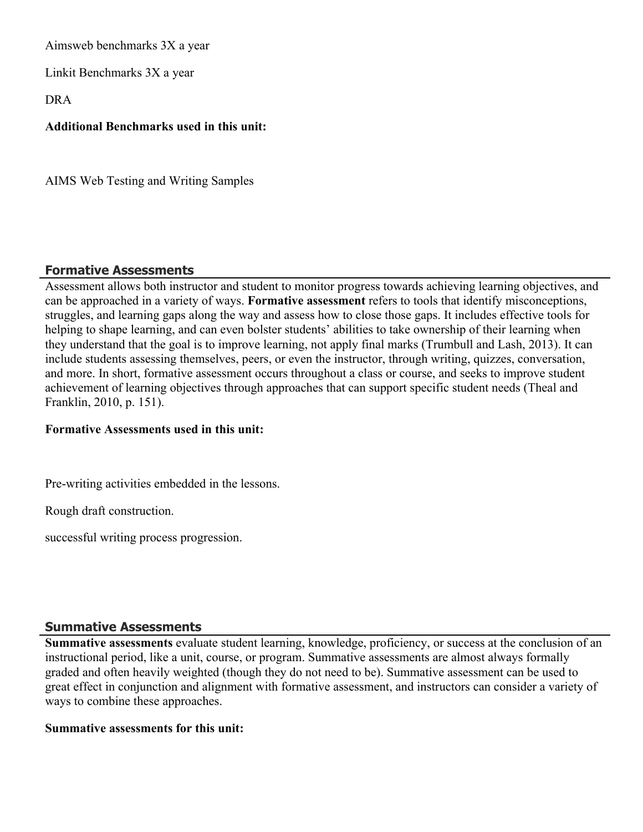Aimsweb benchmarks 3X a year

Linkit Benchmarks 3X a year

DRA

## **Additional Benchmarks used in this unit:**

AIMS Web Testing and Writing Samples

# **Formative Assessments**

Assessment allows both instructor and student to monitor progress towards achieving learning objectives, and can be approached in a variety of ways. **Formative assessment** refers to tools that identify misconceptions, struggles, and learning gaps along the way and assess how to close those gaps. It includes effective tools for helping to shape learning, and can even bolster students' abilities to take ownership of their learning when they understand that the goal is to improve learning, not apply final marks (Trumbull and Lash, 2013). It can include students assessing themselves, peers, or even the instructor, through writing, quizzes, conversation, and more. In short, formative assessment occurs throughout a class or course, and seeks to improve student achievement of learning objectives through approaches that can support specific student needs (Theal and Franklin, 2010, p. 151).

#### **Formative Assessments used in this unit:**

Pre-writing activities embedded in the lessons.

Rough draft construction.

successful writing process progression.

## **Summative Assessments**

**Summative assessments** evaluate student learning, knowledge, proficiency, or success at the conclusion of an instructional period, like a unit, course, or program. Summative assessments are almost always formally graded and often heavily weighted (though they do not need to be). Summative assessment can be used to great effect in conjunction and alignment with formative assessment, and instructors can consider a variety of ways to combine these approaches.

#### **Summative assessments for this unit:**